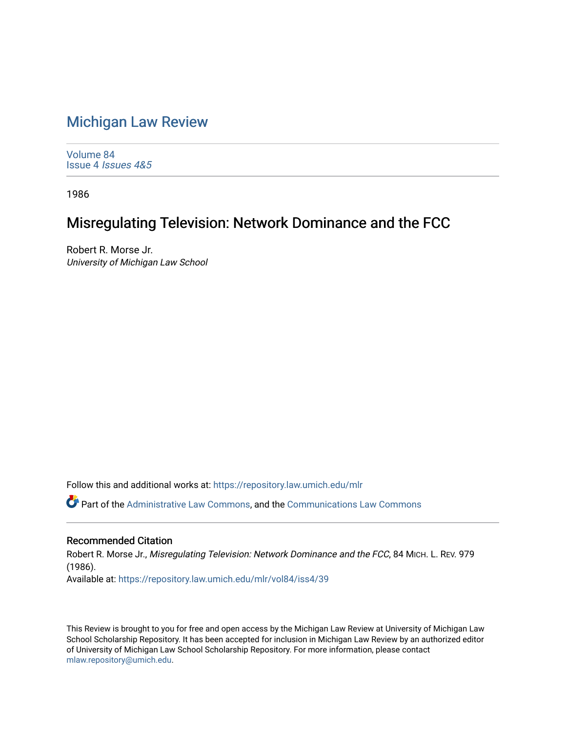## [Michigan Law Review](https://repository.law.umich.edu/mlr)

[Volume 84](https://repository.law.umich.edu/mlr/vol84) Issue 4 [Issues 4&5](https://repository.law.umich.edu/mlr/vol84/iss4) 

1986

## Misregulating Television: Network Dominance and the FCC

Robert R. Morse Jr. University of Michigan Law School

Follow this and additional works at: [https://repository.law.umich.edu/mlr](https://repository.law.umich.edu/mlr?utm_source=repository.law.umich.edu%2Fmlr%2Fvol84%2Fiss4%2F39&utm_medium=PDF&utm_campaign=PDFCoverPages) 

Part of the [Administrative Law Commons,](http://network.bepress.com/hgg/discipline/579?utm_source=repository.law.umich.edu%2Fmlr%2Fvol84%2Fiss4%2F39&utm_medium=PDF&utm_campaign=PDFCoverPages) and the [Communications Law Commons](http://network.bepress.com/hgg/discipline/587?utm_source=repository.law.umich.edu%2Fmlr%2Fvol84%2Fiss4%2F39&utm_medium=PDF&utm_campaign=PDFCoverPages)

## Recommended Citation

Robert R. Morse Jr., Misregulating Television: Network Dominance and the FCC, 84 MICH. L. REV. 979 (1986). Available at: [https://repository.law.umich.edu/mlr/vol84/iss4/39](https://repository.law.umich.edu/mlr/vol84/iss4/39?utm_source=repository.law.umich.edu%2Fmlr%2Fvol84%2Fiss4%2F39&utm_medium=PDF&utm_campaign=PDFCoverPages) 

This Review is brought to you for free and open access by the Michigan Law Review at University of Michigan Law School Scholarship Repository. It has been accepted for inclusion in Michigan Law Review by an authorized editor of University of Michigan Law School Scholarship Repository. For more information, please contact [mlaw.repository@umich.edu.](mailto:mlaw.repository@umich.edu)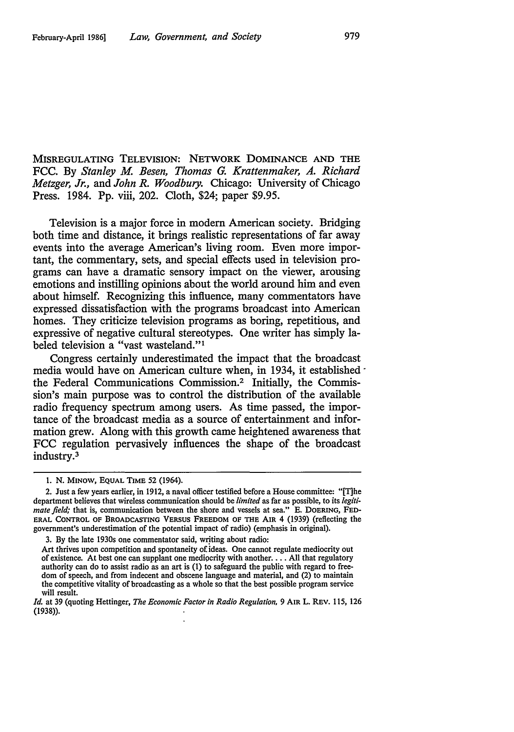MISREGULATING TELEVISION: NETWORK DOMINANCE AND THE FCC. By *Stanley M. Besen, Thomas G. Krattenmaker, A. Richard Metzger, Jr.,* and *John R. Woodbury.* Chicago: University of Chicago Press. 1984. Pp. viii, 202. Cloth, \$24; paper \$9.95.

Television is a major force in modem American society. Bridging both time and distance, it brings realistic representations of far away events into the average American's living room. Even more important, the commentary, sets, and special effects used in television programs can have a dramatic sensory impact on the viewer, arousing emotions and instilling opinions about the world around him and even about himself. Recognizing this influence, many commentators have expressed dissatisfaction with the programs broadcast into American homes. They criticize television programs as boring, repetitious, and expressive of negative cultural stereotypes. One writer has simply labeled television a "vast wasteland."<sup>1</sup>

Congress certainly underestimated the impact that the broadcast media would have on American culture when, in 1934, it established the Federal Communications Commission.2 Initially, the Commission's main purpose was to control the distribution of the available radio frequency spectrum among users. As time passed, the importance of the broadcast media as a source of entertainment and information grew. Along with this growth came heightened awareness that FCC regulation pervasively influences the shape of the broadcast industry.3

<sup>1.</sup> N. MINOW, EQUAL TIME 52 (1964).

<sup>2.</sup> Just a few years earlier, in 1912, a naval officer testified before a House committee: "[T]he department believes that wireless communication should be *limited* as far as possible, to its *legitimate field;* that is, communication between the shore and vessels at sea." E. DOERING, FED-ERAL CONTROL OF BROADCASTING VERSUS FREEDOM OF THE AIR 4 (1939) (reflecting the government's underestimation of the potential impact of radio) (emphasis in original).

<sup>3.</sup> By the late 1930s one commentator said, writing about radio:

Art thrives upon competition and spontaneity of ideas. One cannot regulate mediocrity out of existence. At best one can supplant one mediocrity with another.... All that regulatory authority can do to assist radio as an art is (1) to safeguard the public with regard to freedom of speech, and from indecent and obscene language and material, and (2) to maintain the competitive vitality of broadcasting as a whole so that the best possible program service will result.

*Id.* at 39 (quoting Hettinger, *The Economic Factor in Radio Regulation,* 9 AIR L. REV. 115, 126 (1938)).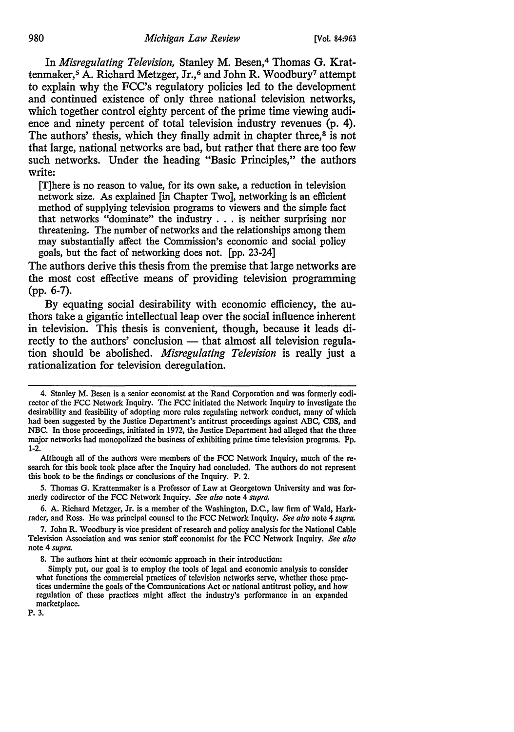In *Misregulating Television,* Stanley M. Besen,4 Thomas G. Krattenmaker,5 A. Richard Metzger, Jr.,6 and John R. Woodbury7 attempt to explain why the FCC's regulatory policies led to the development and continued existence of only three national television networks, which together control eighty percent of the prime time viewing audience and ninety percent of total television industry revenues (p. 4). The authors' thesis, which they finally admit in chapter three,<sup>8</sup> is not that large, national networks are bad, but rather that there are too few such networks. Under the heading "Basic Principles," the authors write:

[T]here is no reason to value, for its own sake, a reduction in television network size. As explained [in Chapter Two], networking is an efficient method of supplying television programs to viewers and the simple fact that networks "dominate" the industry . . . is neither surprising nor threatening. The number of networks and the relationships among them may substantially affect the Commission's economic and social policy goals, but the fact of networking does not. [pp. 23-24]

The authors derive this thesis from the premise that large networks are the most cost effective means of providing television programming (pp. 6-7).

By equating social desirability with economic efficiency, the authors take a gigantic intellectual leap over the social influence inherent in television. This thesis is convenient, though, because it leads directly to the authors' conclusion — that almost all television regulation should be abolished. *Misregulating Television* is really just a rationalization for television deregulation.

P. 3.

<sup>4.</sup> Stanley M. Besen is a senior economist at the Rand Corporation and was formerly codirector of the FCC Network Inquiry. The FCC initiated the Network Inquiry to investigate the desirability and feasibility of adopting more rules regulating network conduct, many of which had been suggested by the Justice Department's antitrust proceedings against ABC, CBS, and NBC. In those proceedings, initiated in 1972, the Justice Department had alleged that the three major networks had monopolized the business of exhibiting prime time television programs. Pp. 1-2.

Although all of the authors were members of the FCC Network Inquiry, much of the research for this book took place after the Inquiry had concluded. The authors do not represent this book to be the findings or conclusions of the Inquiry. P. 2.

<sup>5.</sup> Thomas G. Krattenmaker is a Professor of Law at Georgetown University and was formerly codirector of the FCC Network Inquiry. *See also* note 4 *supra.* 

<sup>6.</sup> A. Richard Metzger, Jr. is a member of the Washington, D.C., law firm of Wald, Hark· rader, and Ross. He was principal counsel to the FCC Network Inquiry. *See also* note 4 *supra.* 

<sup>7.</sup> John R. Woodbury is vice president of research and policy analysis for the National Cable Television Association and was senior staff economist for the FCC Network Inquiry. *See also*  note 4 *supra.* 

<sup>8.</sup> The authors hint at their economic approach in their introduction:

Simply put, our goal is to employ the tools of legal and economic analysis to consider what functions the commercial practices of television networks serve, whether those practices undermine the goals of the Communications Act or national antitrust policy, and how regulation of these practices might affect the industry's performance in an expanded marketplace.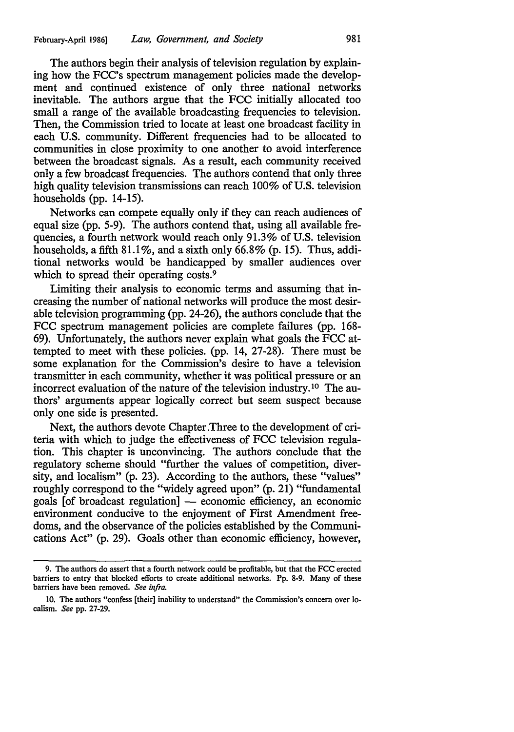The authors begin their analysis of television regulation by explaining how the FCC's spectrum management policies made the development and continued existence of only three national networks inevitable. The authors argue that the FCC initially allocated too small a range of the available broadcasting frequencies to television. Then, the Commission tried to locate at least one broadcast facility in each U.S. community. Different frequencies had to be allocated to communities in close proximity to one another to avoid interference between the broadcast signals. As a result, each community received only a few broadcast frequencies. The authors contend that only three high quality television transmissions can reach 100% of U.S. television households (pp. 14-15).

Networks can compete equally only if they can reach audiences of equal size (pp. 5-9). The authors contend that, using all available frequencies, a fourth network would reach only 91.3% of U.S. television households, a fifth  $81.1\%$ , and a sixth only 66.8% (p. 15). Thus, additional networks would be handicapped by smaller audiences over which to spread their operating costs.<sup>9</sup>

Limiting their analysis to economic terms and assuming that increasing the number of national networks will produce the most desirable television programming (pp. 24-26), the authors conclude that the FCC spectrum management policies are complete failures (pp. 168- 69). Unfortunately, the authors never explain what goals the FCC attempted to meet with these policies. (pp. 14, 27-28). There must be some explanation for the Commission's desire to have a television transmitter in each community, whether it was political pressure or an incorrect evaluation of the nature of the television industry. 10 The authors' arguments appear logically correct but seem suspect because only one side is presented.

Next, the authors devote Chapter .Three to the development of criteria with which to judge the effectiveness of FCC television regulation. This chapter is unconvincing. The authors conclude that the regulatory scheme should "further the values of competition, diversity, and localism" (p. 23). According to the authors, these "values" roughly correspond to the "widely agreed upon" (p. 21) "fundamental goals [of broadcast regulation] - economic efficiency, an economic environment conducive to the enjoyment of First Amendment freedoms, and the observance of the policies established by the Communications Act" (p. 29). Goals other than economic efficiency, however,

<sup>9.</sup> The authors do assert that a fourth network could be profitable, but that the FCC erected barriers to entry that blocked efforts to create additional networks. Pp. 8-9. Many of these barriers have been removed. *See infra.* 

<sup>10.</sup> The authors "confess [their] inability to understand" the Commission's concern over localism. *See* pp. 27-29.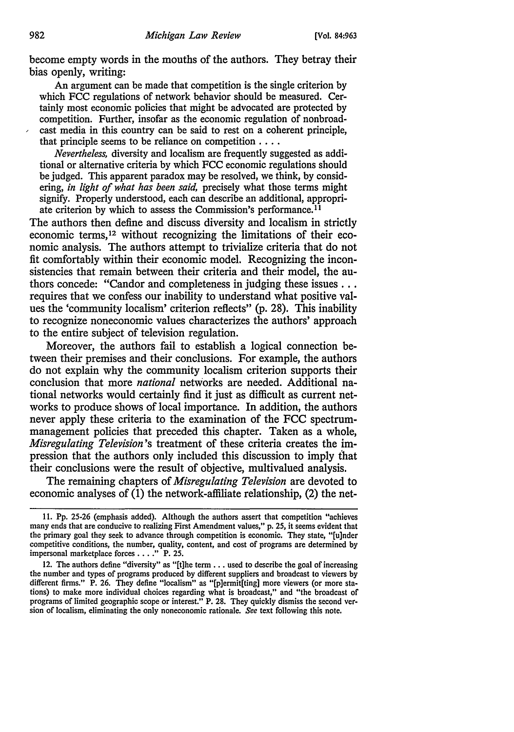become empty words in the mouths of the authors. They betray their bias openly, writing:

An argument can be made that competition is the single criterion by which FCC regulations of network behavior should be measured. Certainly most economic policies that might be advocated are protected by competition. Further, insofar as the economic regulation of nonbroad- , cast media in this country can be said to rest on a coherent principle, that principle seems to be reliance on competition . . . .

*Nevertheless,* diversity and localism are frequently suggested as additional or alternative criteria by which FCC economic regulations should be judged. This apparent paradox may be resolved, we think, by considering, *in light of what has been said,* precisely what those terms might signify. Properly understood, each can describe an additional, appropriate criterion by which to assess the Commission's performance.<sup>11</sup>

The authors then define and discuss diversity and localism in strictly economic terms, 12 without recognizing the limitations of their economic analysis. The authors attempt to trivialize criteria that do not fit comfortably within their economic model. Recognizing the inconsistencies that remain between their criteria and their model, the authors concede: "Candor and completeness in judging these issues ... requires that we confess our inability to understand what positive values the 'community localism' criterion reflects" (p. 28). This inability to recognize noneconomic values characterizes the authors' approach to the entire subject of television regulation.

Moreover, the authors fail to establish a logical connection between their premises and their conclusions. For example, the authors do not explain why the community localism criterion supports their conclusion that more *national* networks are needed. Additional national networks would certainly find it just as difficult as current networks to produce shows of local importance. In addition, the authors never apply these criteria to the examination of the FCC spectrummanagement policies that preceded this chapter. Taken as a whole, *Misregulating Television's* treatment of these criteria creates the impression that the authors only included this discussion to imply that their conclusions were the result of objective, multivalued analysis.

The remaining chapters of *Misregulating Television* are devoted to economic analyses of (1) the network-affiliate relationship, (2) the net-

<sup>11.</sup> Pp. 25-26 (emphasis added). Although the authors assert that competition "achieves many ends that are conducive to realizing First Amendment values," p. 25, it seems evident that the primary goal they seek to advance through competition is economic. They state, "[u]ndcr competitive conditions, the number, quality, content, and cost of programs arc determined by impersonal marketplace forces . . . . " P. 25.

<sup>12.</sup> The authors define "diversity" as "[t]he term ... used to describe the goal of increasing the number and types of programs produced by different suppliers and broadcast to viewers by different firms." P. 26. They define "localism" as "(p]ermit[ting] more viewers (or more stations) to make more individual choices regarding what is broadcast," and "the broadcast of programs of limited geographic scope or interest." P. 28. They quickly dismiss the second version of localism, eliminating the only noneconomic rationale. *See* text following this note.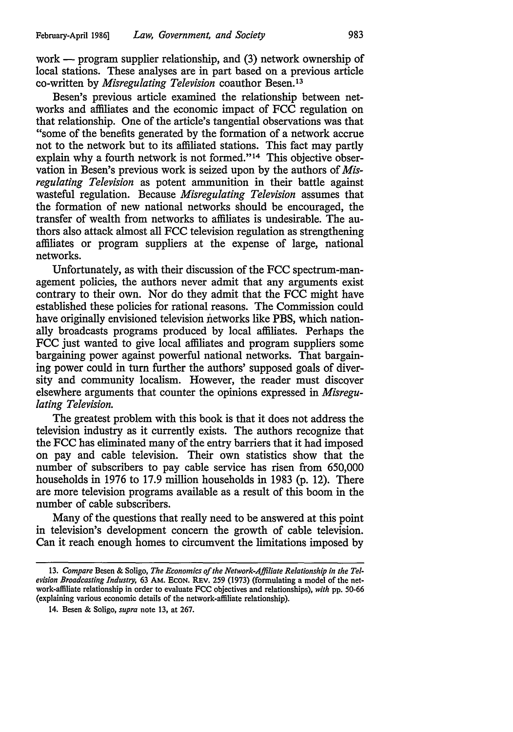work  $-$  program supplier relationship, and  $(3)$  network ownership of local stations. These analyses are in part based on a previous article co-written by *Misregulating Television* coauthor Besen. <sup>13</sup>

Besen's previous article examined the relationship between networks and affiliates and the economic impact of FCC regulation on that relationship. One of the article's tangential observations was that "some of the benefits generated by the formation of a network accrue not to the network but to its affiliated stations. This fact may partly explain why a fourth network is not formed."<sup>14</sup> This objective observation in Besen's previous work is seized upon by the authors of *Misregulating Television* as potent ammunition in their battle against wasteful regulation. Because *Misregulating Television* assumes that the formation of new national networks should be encouraged, the transfer of wealth from networks to affiliates is undesirable. The authors also attack almost all FCC television regulation as strengthening affiliates or program suppliers at the expense of large, national networks.

Unfortunately, as with their discussion of the FCC spectrum-management policies, the authors never admit that any arguments exist contrary to their own. Nor do they admit that the FCC might have established these policies for rational reasons. The Commission could have originally envisioned television networks like PBS, which nationally broadcasts programs produced by local affiliates. Perhaps the FCC just wanted to give local affiliates and program suppliers some bargaining power against powerful national networks. That bargaining power could in turn further the authors' supposed goals of diversity and community localism. However, the reader must discover elsewhere arguments that counter the opinions expressed in *Misregulating Television.* 

The greatest problem with this book is that it does not address the television industry as it currently exists. The authors recognize that the FCC has eliminated many of the entry barriers that it had imposed on pay and cable television. Their own statistics show that the number of subscribers to pay cable service has risen from 650,000 households in 1976 to 17.9 million households in 1983 (p. 12). There are more television programs available as a result of this boom in the number of cable subscribers.

Many of the questions that really need to be answered at this point in television's development concern the growth of cable television. Can it reach enough homes to circumvent the limitations imposed by

<sup>13.</sup> *Compare* Besen & Soligo, *The Economics of the Network-Affiliate Relationship in the Television Broadcasting Industry,* 63 AM. EcoN. REv. 259 (1973) (formulating a model of the network-affiliate relationship in order to evaluate FCC objectives and relationships), *with* pp. 50-66 (explaining various economic details of the network-affiliate relationship).

<sup>14.</sup> Besen & Soligo, *supra* note 13, at 267.